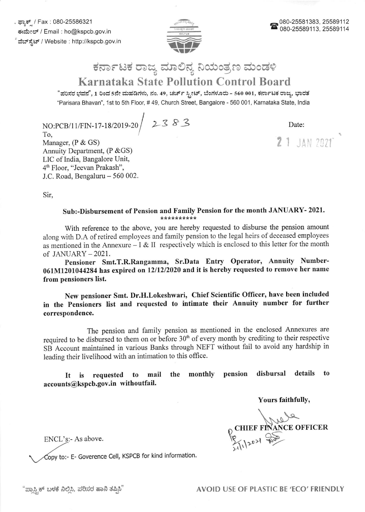. ಫ್ಯಾಕ್ / Fax : 080-25586321 ಕಃಮೇಲ್ / Email : ho@kspcb.gov.in ವೆಬ್ ಸ್ಪೆಟ್ / Website : http://kspcb.gov.in



## ಕರ್ನಾಟಕ ರಾಜ್ಯ ಮಾಲಿನ್ಯ ನಿಯಂತ್ರಣ ಮಂಡಳಿ Karnataka State Pollution Control Board

"ಪರಿಸರ ಭವನ", 1 ರಿಂದ 5ನೇ ಮಹಡಿಗಳು, ನಂ. 49, ಚರ್ಚ್ ಸ್ಟೀಟ್, ಬೆಂಗಳೂರು - 560 001, ಕರ್ನಾಟಕ ರಾಜ್ಯ, ಭಾರತ 'Parisara Bhavan", 1st to 5th Floor, # 49, Church Street, Bangalore - 560 001, Karnataka State, lndia

NO:PCB/11/FIN-17-18/2019-20 2383

To, Manager, (P & GS) Annuity Department, (P & GS) LIC of India, Bangalore Unit, 4fi Floor, "Jeevan Prakash", J.C. Road, Bengaluru - 560 002. Date:

2 1 JAN 2021

Sir,

## Sub:-Disbursement of Pension and Family Pension for the month JANUARY- 2021.<br>\*\*\*\*\*\*\*\*\*\*

With reference to the above, you are hereby requested to disburse the pension amount along with D.A of retired employees and farnily pension to the legal heirs of deceased employees as mentioned in the Annexure  $-1 & 1$  is respectively which is enclosed to this letter for the month of JANUARY-2021.

Pensioner Smt.T.R.Rangamma, Sr.Data Entry Operator, Annuity Number-061M1201044284 has expired on 12/12/2020 and it is hereby requested to remove her name from pensioners list.

New pensioner Smt. Dr.H.Lokeshwari, chief Scientific officer, have been included in the Pensioners list and requested to intimate their Annuity number for further correspondence.

The pension and family pension as mentioned in the enclosed Annexures are required to be disbursed to them on or before 30<sup>th</sup> of every month by crediting to their respective SB Account maintained in various Banks through NEFT without fail to avoid any hardship in leading their livelihood with an intimation to this office.

It is requested to mail the monthly pension disbursal details to accounts@kspcb.gov.in withoutfail.

Yours faithfully,

1996 ANCE OFFICER

ENCL's:- As above.

Copy to:- E- Goverence Cell, KSPCB for kind information.

"ಪ್ರಾಸ್ಟಿಕ್ ಬಳಕೆ ನಿಲ್ಲಿಸಿ, ಪರಿಸರ ಹಾನಿ ತಪ್ಪಿಸಿ" AVOID USE OF PLASTIC BE 'ECO' FRIENDLY